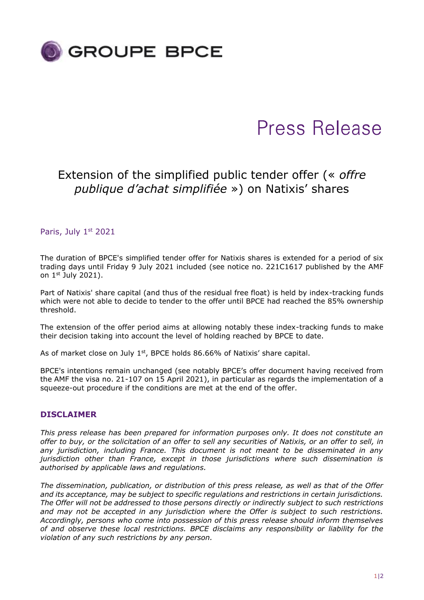

# Press Release

# Extension of the simplified public tender offer (« *offre publique d'achat simplifiée* ») on Natixis' shares

Paris, July 1st 2021

The duration of BPCE's simplified tender offer for Natixis shares is extended for a period of six trading days until Friday 9 July 2021 included (see notice no. 221C1617 published by the AMF on 1st July 2021).

Part of Natixis' share capital (and thus of the residual free float) is held by index-tracking funds which were not able to decide to tender to the offer until BPCE had reached the 85% ownership threshold.

The extension of the offer period aims at allowing notably these index-tracking funds to make their decision taking into account the level of holding reached by BPCE to date.

As of market close on July  $1<sup>st</sup>$ , BPCE holds 86.66% of Natixis' share capital.

BPCE's intentions remain unchanged (see notably BPCE's offer document having received from the AMF the visa no. 21-107 on 15 April 2021), in particular as regards the implementation of a squeeze-out procedure if the conditions are met at the end of the offer.

## **DISCLAIMER**

*This press release has been prepared for information purposes only. It does not constitute an offer to buy, or the solicitation of an offer to sell any securities of Natixis, or an offer to sell, in any jurisdiction, including France. This document is not meant to be disseminated in any jurisdiction other than France, except in those jurisdictions where such dissemination is authorised by applicable laws and regulations.*

*The dissemination, publication, or distribution of this press release, as well as that of the Offer and its acceptance, may be subject to specific regulations and restrictions in certain jurisdictions. The Offer will not be addressed to those persons directly or indirectly subject to such restrictions and may not be accepted in any jurisdiction where the Offer is subject to such restrictions. Accordingly, persons who come into possession of this press release should inform themselves of and observe these local restrictions. BPCE disclaims any responsibility or liability for the violation of any such restrictions by any person.*